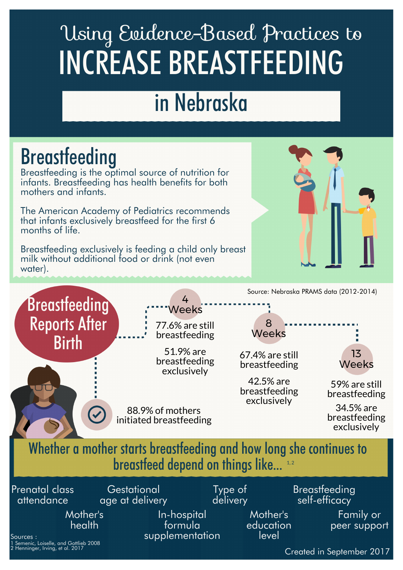# Using Evidence-Based Practices to INCREASE BREASTFEEDING

## in Nebraska

### **Breastfeeding**

 Breastfeeding is the optimal source of nutrition for mothers and infants. infants. Breastfeeding has health benefits for both

 The American Academy of Pediatrics recommends that infants exclusively breastfeed for the first 6 months of life.

 Breastfeeding exclusively is feeding a child only breast milk without additional food or drink (not even water).





 age at delivery 1 Semenic, Loiselle, and Gottlieb 2008  $^{2}$  Henninger, Irving, et al. 2017  $\blacksquare$ Prenatal class attendance **Gestational** Type of delivery **Breastfeeding** self-efficacy Mother's health In-hospital formula supplementation Mother's education level Family or peer support Sources :